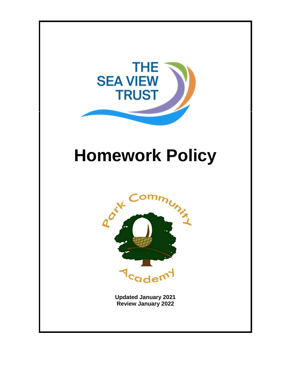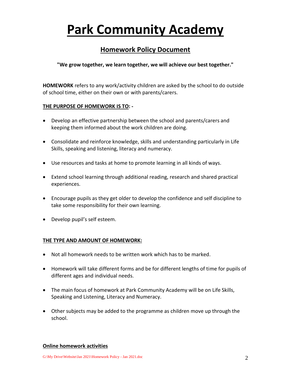# **Park Community Academy**

# **Homework Policy Document**

**"We grow together, we learn together, we will achieve our best together."**

**HOMEWORK** refers to any work/activity children are asked by the school to do outside of school time, either on their own or with parents/carers.

#### **THE PURPOSE OF HOMEWORK IS TO: -**

- Develop an effective partnership between the school and parents/carers and keeping them informed about the work children are doing.
- Consolidate and reinforce knowledge, skills and understanding particularly in Life Skills, speaking and listening, literacy and numeracy.
- Use resources and tasks at home to promote learning in all kinds of ways.
- Extend school learning through additional reading, research and shared practical experiences.
- Encourage pupils as they get older to develop the confidence and self discipline to take some responsibility for their own learning.
- Develop pupil's self esteem.

#### **THE TYPE AND AMOUNT OF HOMEWORK:**

- Not all homework needs to be written work which has to be marked.
- Homework will take different forms and be for different lengths of time for pupils of different ages and individual needs.
- The main focus of homework at Park Community Academy will be on Life Skills, Speaking and Listening, Literacy and Numeracy.
- Other subjects may be added to the programme as children move up through the school.

#### **Online homework activities**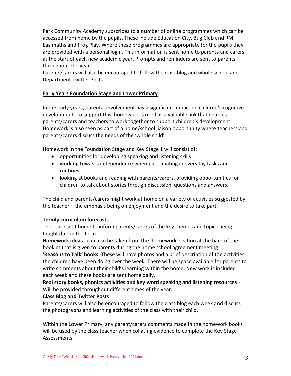Park Community Academy subscribes to a number of online programmes which can be accessed from home by the pupils. These include Education City, Bug Club and RM Easimaths and Frog Play. Where these programmes are appropriate for the pupils they are provided with a personal login. This information is sent home to parents and carers at the start of each new academic year. Prompts and reminders are sent to parents throughout the year.

Parents/carers will also be encouraged to follow the class blog and whole school and Department Twitter Posts.

# **Early Years Foundation Stage and Lower Primary**

In the early years, parental involvement has a significant impact on children's cognitive development. To support this, homework is used as a valuable link that enables parents/carers and teachers to work together to support children's development. Homework is also seen as part of a home/school liaison opportunity where teachers and parents/carers discuss the needs of the 'whole child'

Homework in the Foundation Stage and Key Stage 1 will consist of;

- opportunities for developing speaking and listening skills
- working towards independence when participating in everyday tasks and routines;
- looking at books and reading with parents/carers, providing opportunities for children to talk about stories through discussion, questions and answers.

The child and parents/carers might work at home on a variety of activities suggested by the teacher – the emphasis being on enjoyment and the desire to take part.

#### **Termly curriculum forecasts**

These are sent home to inform parents/carers of the key themes and topics being taught during the term.

**Homework ideas** - can also be taken from the 'homework' section at the back of the booklet that is given to parents during the home school agreement meeting.

**'Reasons to Talk' books** -These will have photos and a brief description of the activities the children have been doing over the week. There will be space available for parents to write comments about their child's learning within the home. New work is included each week and these books are sent home daily.

**Real story books, phonics activities and key word speaking and listening resources** - Will be provided throughout different times of the year.

#### **Class Blog and Twitter Posts**

Parents/carers will also be encouraged to follow the class blog each week and discuss the photographs and learning activities of the class with their child.

Within the Lower Primary, any parent/carers comments made in the homework books will be used by the class teacher when collating evidence to complete the Key Stage **Assessments**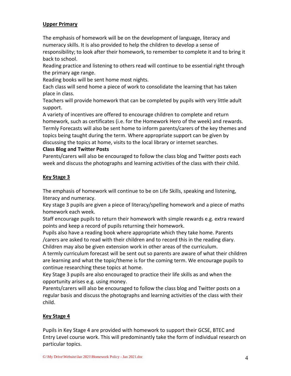#### **Upper Primary**

The emphasis of homework will be on the development of language, literacy and numeracy skills. It is also provided to help the children to develop a sense of responsibility; to look after their homework, to remember to complete it and to bring it back to school.

Reading practice and listening to others read will continue to be essential right through the primary age range.

Reading books will be sent home most nights.

Each class will send home a piece of work to consolidate the learning that has taken place in class.

Teachers will provide homework that can be completed by pupils with very little adult support.

A variety of incentives are offered to encourage children to complete and return homework, such as certificates (i.e. for the Homework Hero of the week) and rewards. Termly Forecasts will also be sent home to inform parents/carers of the key themes and topics being taught during the term. Where appropriate support can be given by discussing the topics at home, visits to the local library or internet searches.

# **Class Blog and Twitter Posts**

Parents/carers will also be encouraged to follow the class blog and Twitter posts each week and discuss the photographs and learning activities of the class with their child.

# **Key Stage 3**

The emphasis of homework will continue to be on Life Skills, speaking and listening, literacy and numeracy.

Key stage 3 pupils are given a piece of literacy/spelling homework and a piece of maths homework each week.

Staff encourage pupils to return their homework with simple rewards e.g. extra reward points and keep a record of pupils returning their homework.

Pupils also have a reading book where appropriate which they take home. Parents /carers are asked to read with their children and to record this in the reading diary. Children may also be given extension work in other areas of the curriculum.

A termly curriculum forecast will be sent out so parents are aware of what their children are learning and what the topic/theme is for the coming term. We encourage pupils to continue researching these topics at home.

Key Stage 3 pupils are also encouraged to practice their life skills as and when the opportunity arises e.g. using money.

Parents/carers will also be encouraged to follow the class blog and Twitter posts on a regular basis and discuss the photographs and learning activities of the class with their child.

# **Key Stage 4**

Pupils in Key Stage 4 are provided with homework to support their GCSE, BTEC and Entry Level course work. This will predominantly take the form of individual research on particular topics.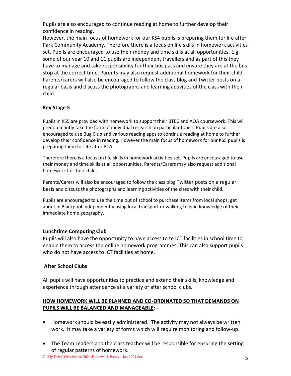Pupils are also encouraged to continue reading at home to further develop their confidence in reading.

However, the main focus of homework for our KS4 pupils is preparing them for life after Park Community Academy. Therefore there is a focus on life skills in homework activities set. Pupils are encouraged to use their money and time skills at all opportunities. E.g. some of our year 10 and 11 pupils are independent travellers and as part of this they have to manage and take responsibility for their bus pass and ensure they are at the bus stop at the correct time. Parents may also request additional homework for their child. Parents/carers will also be encouraged to follow the class blog and Twitter posts on a regular basis and discuss the photographs and learning activities of the class with their child.

# **Key Stage 5**

Pupils in KS5 are provided with homework to support their BTEC and AQA coursework. This will predominantly take the form of individual research on particular topics. Pupils are also encouraged to use Bug Club and various reading apps to continue reading at home to further develop their confidence in reading. However the main focus of homework for our KS5 pupils is preparing them for life after PCA.

Therefore there is a focus on life skills in homework activities set. Pupils are encouraged to use their money and time skills at all opportunities. Parents/Carers may also request additional homework for their child.

Parents/Carers will also be encouraged to follow the class blog Twitter posts on a regular basis and discuss the photographs and learning activities of the class with their child.

Pupils are encouraged to use the time out of school to purchase items from local shops, get about in Blackpool independently using local transport or walking to gain knowledge of their immediate home geography.

# **Lunchtime Computing Club**

Pupils will also have the opportunity to have access to te ICT facilities in school time to enable them to access the online homework programmes. This can also support pupils who do not have access to ICT facilities at home.

# **After School Clubs**

All pupils will have opportunities to practice and extend their skills, knowledge and experience through attendance at a variety of after school clubs.

# **HOW HOMEWORK WILL BE PLANNED AND CO-ORDINATED SO THAT DEMANDS ON PUPILS WILL BE BALANCED AND MANAGEABLE: -**

- Homework should be easily administered. The activity may not always be written work. It may take a variety of forms which will require monitoring and follow-up.
- The Team Leaders and the class teacher will be responsible for ensuring the setting of regular patterns of homework.

G:\My Drive\Website\Jan 2021\Homework Policy - Jan 2021.doc 5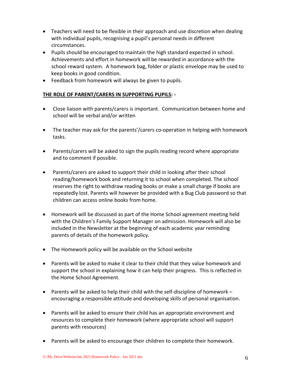- Teachers will need to be flexible in their approach and use discretion when dealing with individual pupils, recognising a pupil's personal needs in different circumstances.
- Pupils should be encouraged to maintain the high standard expected in school. Achievements and effort in homework will be rewarded in accordance with the school reward system. A homework bag, folder or plastic envelope may be used to keep books in good condition.
- Feedback from homework will always be given to pupils.

# **THE ROLE OF PARENT/CARERS IN SUPPORTING PUPILS: -**

- Close liaison with parents/carers is important. Communication between home and school will be verbal and/or written
- The teacher may ask for the parents'/carers co-operation in helping with homework tasks.
- Parents/carers will be asked to sign the pupils reading record where appropriate and to comment if possible.
- Parents/carers are asked to support their child in looking after their school reading/homework book and returning it to school when completed. The school reserves the right to withdraw reading books or make a small charge if books are repeatedly lost. Parents will however be provided with a Bug Club password so that children can access online books from home.
- Homework will be discussed as part of the Home School agreement meeting held with the Children's Family Support Manager on admission. Homework will also be included in the Newsletter at the beginning of each academic year reminding parents of details of the homework policy.
- The Homework policy will be available on the School website
- Parents will be asked to make it clear to their child that they value homework and support the school in explaining how it can help their progress. This is reflected in the Home School Agreement.
- **•** Parents will be asked to help their child with the self-discipline of homework  $$ encouraging a responsible attitude and developing skills of personal organisation.
- Parents will be asked to ensure their child has an appropriate environment and resources to complete their homework (where appropriate school will support parents with resources)
- Parents will be asked to encourage their children to complete their homework.